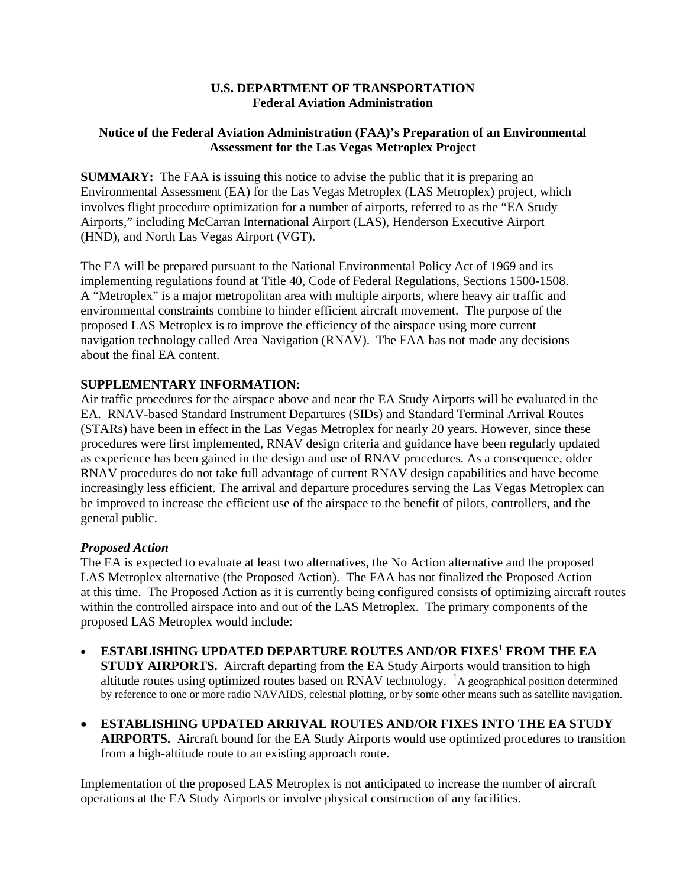#### **U.S. DEPARTMENT OF TRANSPORTATION Federal Aviation Administration**

# **Notice of the Federal Aviation Administration (FAA)'s Preparation of an Environmental Assessment for the Las Vegas Metroplex Project**

**SUMMARY:** The FAA is issuing this notice to advise the public that it is preparing an Environmental Assessment (EA) for the Las Vegas Metroplex (LAS Metroplex) project, which involves flight procedure optimization for a number of airports, referred to as the "EA Study Airports," including McCarran International Airport (LAS), Henderson Executive Airport (HND), and North Las Vegas Airport (VGT).

The EA will be prepared pursuant to the National Environmental Policy Act of 1969 and its implementing regulations found at Title 40, Code of Federal Regulations, Sections 1500-1508. A "Metroplex" is a major metropolitan area with multiple airports, where heavy air traffic and environmental constraints combine to hinder efficient aircraft movement. The purpose of the proposed LAS Metroplex is to improve the efficiency of the airspace using more current navigation technology called Area Navigation (RNAV). The FAA has not made any decisions about the final EA content.

# **SUPPLEMENTARY INFORMATION:**

Air traffic procedures for the airspace above and near the EA Study Airports will be evaluated in the EA. RNAV-based Standard Instrument Departures (SIDs) and Standard Terminal Arrival Routes (STARs) have been in effect in the Las Vegas Metroplex for nearly 20 years. However, since these procedures were first implemented, RNAV design criteria and guidance have been regularly updated as experience has been gained in the design and use of RNAV procedures. As a consequence, older RNAV procedures do not take full advantage of current RNAV design capabilities and have become increasingly less efficient. The arrival and departure procedures serving the Las Vegas Metroplex can be improved to increase the efficient use of the airspace to the benefit of pilots, controllers, and the general public.

## *Proposed Action*

The EA is expected to evaluate at least two alternatives, the No Action alternative and the proposed LAS Metroplex alternative (the Proposed Action). The FAA has not finalized the Proposed Action at this time. The Proposed Action as it is currently being configured consists of optimizing aircraft routes within the controlled airspace into and out of the LAS Metroplex. The primary components of the proposed LAS Metroplex would include:

- **ESTABLISHING UPDATED DEPARTURE ROUTES AND/OR FIXES1 FROM THE EA STUDY AIRPORTS.** Aircraft departing from the EA Study Airports would transition to high altitude routes using optimized routes based on RNAV technology. <sup>1</sup>A geographical position determined by reference to one or more radio NAVAIDS, celestial plotting, or by some other means such as satellite navigation.
- **ESTABLISHING UPDATED ARRIVAL ROUTES AND/OR FIXES INTO THE EA STUDY AIRPORTS.** Aircraft bound for the EA Study Airports would use optimized procedures to transition from a high-altitude route to an existing approach route.

Implementation of the proposed LAS Metroplex is not anticipated to increase the number of aircraft operations at the EA Study Airports or involve physical construction of any facilities.